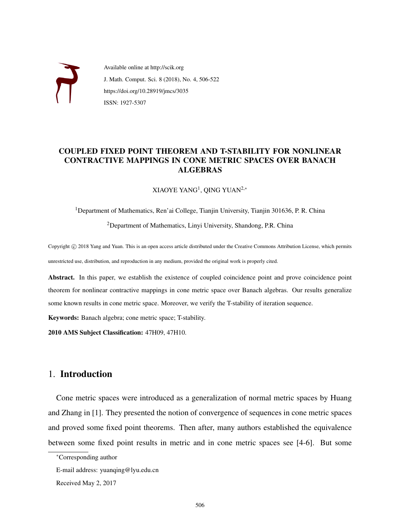

Available online at http://scik.org J. Math. Comput. Sci. 8 (2018), No. 4, 506-522 https://doi.org/10.28919/jmcs/3035 ISSN: 1927-5307

# COUPLED FIXED POINT THEOREM AND T-STABILITY FOR NONLINEAR CONTRACTIVE MAPPINGS IN CONE METRIC SPACES OVER BANACH ALGEBRAS

 $XIAOYE YANG<sup>1</sup>$ , QING YUAN<sup>2,\*</sup>

<sup>1</sup>Department of Mathematics, Ren'ai College, Tianjin University, Tianjin 301636, P. R. China <sup>2</sup>Department of Mathematics, Linyi University, Shandong, P.R. China

Copyright © 2018 Yang and Yuan. This is an open access article distributed under the Creative Commons Attribution License, which permits unrestricted use, distribution, and reproduction in any medium, provided the original work is properly cited.

Abstract. In this paper, we establish the existence of coupled coincidence point and prove coincidence point theorem for nonlinear contractive mappings in cone metric space over Banach algebras. Our results generalize some known results in cone metric space. Moreover, we verify the T-stability of iteration sequence.

Keywords: Banach algebra; cone metric space; T-stability.

2010 AMS Subject Classification: 47H09, 47H10.

# 1. Introduction

Cone metric spaces were introduced as a generalization of normal metric spaces by Huang and Zhang in [1]. They presented the notion of convergence of sequences in cone metric spaces and proved some fixed point theorems. Then after, many authors established the equivalence between some fixed point results in metric and in cone metric spaces see [4-6]. But some

<sup>∗</sup>Corresponding author

E-mail address: yuanqing@lyu.edu.cn

Received May 2, 2017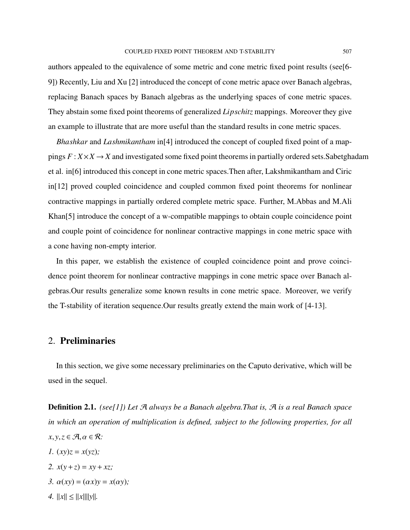authors appealed to the equivalence of some metric and cone metric fixed point results (see[6- 9]) Recently, Liu and Xu [2] introduced the concept of cone metric apace over Banach algebras, replacing Banach spaces by Banach algebras as the underlying spaces of cone metric spaces. They abstain some fixed point theorems of generalized *Lipschitz* mappings. Moreover they give an example to illustrate that are more useful than the standard results in cone metric spaces.

*Bhashkar* and *Lashmikantham* in[4] introduced the concept of coupled fixed point of a mappings  $F: X \times X \rightarrow X$  and investigated some fixed point theorems in partially ordered sets. Sabetghadam et al. in[6] introduced this concept in cone metric spaces.Then after, Lakshmikantham and Ciric in[12] proved coupled coincidence and coupled common fixed point theorems for nonlinear contractive mappings in partially ordered complete metric space. Further, M.Abbas and M.Ali Khan[5] introduce the concept of a w-compatible mappings to obtain couple coincidence point and couple point of coincidence for nonlinear contractive mappings in cone metric space with a cone having non-empty interior.

In this paper, we establish the existence of coupled coincidence point and prove coincidence point theorem for nonlinear contractive mappings in cone metric space over Banach algebras.Our results generalize some known results in cone metric space. Moreover, we verify the T-stability of iteration sequence.Our results greatly extend the main work of [4-13].

### 2. Preliminaries

In this section, we give some necessary preliminaries on the Caputo derivative, which will be used in the sequel.

Definition 2.1. *(see[1]) Let* A *always be a Banach algebra.That is,* A *is a real Banach space in which an operation of multiplication is defined, subject to the following properties, for all*  $x, y, z \in \mathcal{A}, \alpha \in \mathcal{R}$ :

- *1.*  $(xy)z = x(yz)$ ;
- *2.*  $x(y+z) = xy + xz;$
- *3.*  $\alpha(xy) = (\alpha x)y = x(\alpha y)$ ;
- *4.*  $||x|| \le ||x|| ||y||.$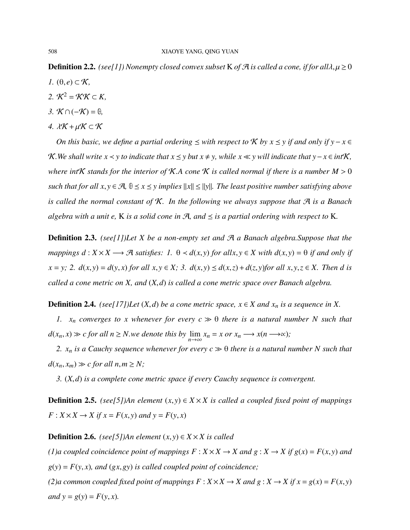**Definition 2.2.** *(see[1]) Nonempty closed convex subset* K *of*  $\mathcal{A}$  *is called a cone, if for all* $\lambda, \mu \ge 0$  $I.$  (θ, *e*) ⊂ *K*,

- 2.  $K^2 = KK \subset K$
- *3.* K ∩(−K) = **θ***,*
- *4.*  $λ$ <sup>*K*</sup> +  $μ$ <sup>*K*</sup> ⊂ *K*

*On this basic, we define a partial ordering*  $\leq$  *with respect to*  $\mathcal K$  *by*  $x \leq y$  *if and only if*  $y - x \in$ K. We shall write  $x \leq y$  to indicate that  $x \leq y$  but  $x \neq y$ , while  $x \ll y$  will indicate that  $y - x \in \text{intK}$ , *where int***K** *stands for the interior of* **K**.A *cone* **K** is called normal if there is a number  $M > 0$ *such that for all*  $x, y \in \mathcal{A}, \theta \le x \le y$  *implies*  $||x|| \le ||y||$ *. The least positive number satisfying above is called the normal constant of* K*. In the following we always suppose that* A *is a Banach algebra with a unit e,* K *is a solid cone in*  $A$ *, and*  $\leq$  *is a partial ordering with respect to* K.

Definition 2.3. *(see[1])Let X be a non-empty set and* A *a Banach algebra.Suppose that the mappings*  $d: X \times X \longrightarrow \mathcal{A}$  *satisfies:* 1.  $\theta \prec d(x, y)$  *for allx*,  $y \in X$  *with*  $d(x, y) = \theta$  *if and only if*  $x = y$ ; 2.  $d(x, y) = d(y, x)$  for all  $x, y \in X$ ; 3.  $d(x, y) \leq d(x, z) + d(z, y)$  for all  $x, y, z \in X$ . Then d is *called a cone metric on X, and* (*X*,*d*) *is called a cone metric space over Banach algebra.*

**Definition 2.4.** *(see[17])Let*  $(X,d)$  *be a cone metric space,*  $x \in X$  *and*  $x_n$  *is a sequence in*  $X$ *.* 

*1. x<sub>n</sub> converges to x whenever for every*  $c \gg \theta$  *there is a natural number N such that*  $d(x_n, x) \gg c$  *for all*  $n \ge N$ *.we denote this by*  $\lim_{n \to \infty} x_n = x$  *or*  $x_n \longrightarrow x(n \longrightarrow \infty)$ *;* 

*2.*  $x_n$  *is a Cauchy sequence whenever for every*  $c \gg \theta$  *there is a natural number N such that*  $d(x_n, x_m) \gg c$  *for all*  $n, m \geq N$ ;

*3.* (*X*,*d*) *is a complete cone metric space if every Cauchy sequence is convergent.*

**Definition 2.5.** *(see[5])An element*  $(x, y) \in X \times X$  *is called a coupled fixed point of mappings*  $F: X \times X \rightarrow X$  *if*  $x = F(x, y)$  *and*  $y = F(y, x)$ 

**Definition 2.6.** *(see*[5])An element  $(x, y) \in X \times X$  is called

*(1)a coupled coincidence point of mappings*  $F: X \times X \rightarrow X$  *and*  $g: X \rightarrow X$  *if*  $g(x) = F(x, y)$  *and*  $g(y) = F(y, x)$ *, and*  $(gx, gy)$  *is called coupled point of coincidence*;

*(2)a common coupled fixed point of mappings*  $F : X \times X \to X$  *and*  $g : X \to X$  *if*  $x = g(x) = F(x, y)$ *and*  $y = g(y) = F(y, x)$ *.*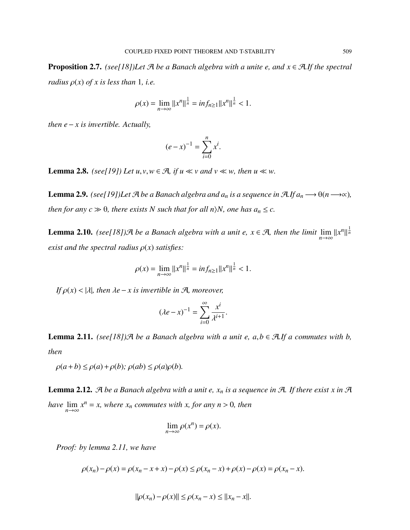**Proposition 2.7.** *(see[18])Let*  $\mathcal{A}$  *be a Banach algebra with a unite e, and*  $x \in \mathcal{A}$ *.If the spectral radius*  $\rho(x)$  *of x is less than* 1*, i.e.* 

$$
\rho(x) = \lim_{n \to \infty} ||x^n||^{\frac{1}{n}} = \inf_{n \ge 1} ||x^n||^{\frac{1}{n}} < 1.
$$

*then*  $e - x$  *is invertible. Actually,* 

$$
(e - x)^{-1} = \sum_{i=0}^{n} x^{i}.
$$

**Lemma 2.8.** *(see[19]) Let*  $u, v, w \in \mathcal{A}$ *, if*  $u \ll v$  *and*  $v \ll w$ *, then*  $u \ll w$ *.* 

**Lemma 2.9.** *(see[19])Let*  $\mathcal{A}$  *be a Banach algebra and*  $a_n$  *is a sequence in*  $\mathcal{A}$ *.If*  $a_n \longrightarrow \theta$  $(n \longrightarrow \infty)$ *, then for any*  $c \gg \theta$ *, there exists N such that for all n* $\setminus N$ *, one has*  $a_n \leq c$ *.* 

**Lemma 2.10.** *(see[18])A be a Banach algebra with a unit e,*  $x \in A$ *, then the limit*  $\lim_{n\to\infty} ||x^n||^{\frac{1}{n}}$ *exist and the spectral radius*  $\rho(x)$  *satisfies:* 

$$
\rho(x) = \lim_{n \to \infty} ||x^n||^{\frac{1}{n}} = \inf_{n \ge 1} ||x^n||^{\frac{1}{n}} < 1.
$$

*If*  $\rho(x) < |\lambda|$ *, then*  $\lambda e - x$  *is invertible in*  $\mathcal{A}$ *, moreover,* 

$$
(\lambda e - x)^{-1} = \sum_{i=0}^{\infty} \frac{x^{i}}{\lambda^{i+1}}.
$$

**Lemma 2.11.** *(see[18])* $\mathcal{A}$  *be a Banach algebra with a unit e, a,b*  $\in \mathcal{A}$ *.If a commutes with b, then*

 $\rho(a+b) \leq \rho(a) + \rho(b)$ ;  $\rho(ab) \leq \rho(a)\rho(b)$ .

**Lemma 2.12.** A be a Banach algebra with a unit e,  $x_n$  is a sequence in A. If there exist x in A *have*  $\lim_{n \to \infty} x^n = x$ , where  $x_n$  *commutes with*  $x$ , *for any*  $n > 0$ , *then* 

$$
\lim_{n \to \infty} \rho(x^n) = \rho(x).
$$

*Proof: by lemma 2.11, we have*

$$
\rho(x_n) - \rho(x) = \rho(x_n - x + x) - \rho(x) \le \rho(x_n - x) + \rho(x) - \rho(x) = \rho(x_n - x).
$$

$$
\|\rho(x_n) - \rho(x)\| \le \rho(x_n - x) \le \|x_n - x\|.
$$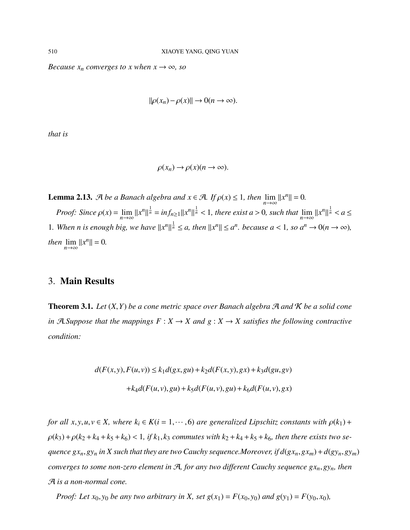*Because*  $x_n$  *converges to*  $x$  *when*  $x \rightarrow \infty$ *, so* 

$$
\|\rho(x_n)-\rho(x)\|\to 0(n\to\infty).
$$

*that is*

$$
\rho(x_n) \to \rho(x)(n \to \infty).
$$

**Lemma 2.13.**  $\mathcal{A}$  *be a Banach algebra and*  $x \in \mathcal{A}$ *. If*  $\rho(x) \le 1$ *, then*  $\lim_{n \to \infty} ||x^n|| = 0$ *. Proof:* Since  $\rho(x) = \lim_{n \to \infty} ||x^n||^{\frac{1}{n}} = \inf_{n \ge 1} ||x^n||^{\frac{1}{n}} < 1$ , there exist  $a > 0$ , such that  $\lim_{n \to \infty} ||x^n||^{\frac{1}{n}} < a \le$ 1. When n is enough big, we have  $||x^n||^{\frac{1}{n}} \le a$ , then  $||x^n|| \le a^n$ . because  $a < 1$ , so  $a^n \to 0$  ( $n \to \infty$ ), *then*  $\lim_{n\to\infty}$   $||x^n|| = 0$ .

# 3. Main Results

**Theorem 3.1.** Let  $(X, Y)$  be a cone metric space over Banach algebra  $\mathcal{A}$  and  $\mathcal{K}$  be a solid cone *in*  $\mathcal{A}$ *. Suppose that the mappings*  $F: X \to X$  *and*  $g: X \to X$  *satisfies the following contractive condition:*

$$
d(F(x, y), F(u, v)) \le k_1 d(gx, gu) + k_2 d(F(x, y), gx) + k_3 d(gu, gv)
$$

$$
+ k_4 d(F(u, v), gu) + k_5 d(F(u, v), gu) + k_6 d(F(u, v), gx)
$$

*for all*  $x, y, u, v \in X$ , where  $k_i \in K(i = 1, \dots, 6)$  *are generalized Lipschitz constants with*  $\rho(k_1)$  +  $\rho(k_3) + \rho(k_2 + k_4 + k_5 + k_6) < 1$ , if  $k_1, k_3$  commutes with  $k_2 + k_4 + k_5 + k_6$ , then there exists two se*guence*  $gx_n, gy_n$  *in*  $X$  *such that they are two Cauchy sequence.Moreover, if*  $d(gx_n, gx_m) + d(gy_n, gy_m)$ *converges to some non-zero element in* <sup>A</sup>*, for any two different Cauchy sequence gxn*,*gyn, then* A *is a non-normal cone.*

*Proof:* Let  $x_0, y_0$  be any two arbitrary in X, set  $g(x_1) = F(x_0, y_0)$  and  $g(y_1) = F(y_0, x_0)$ ,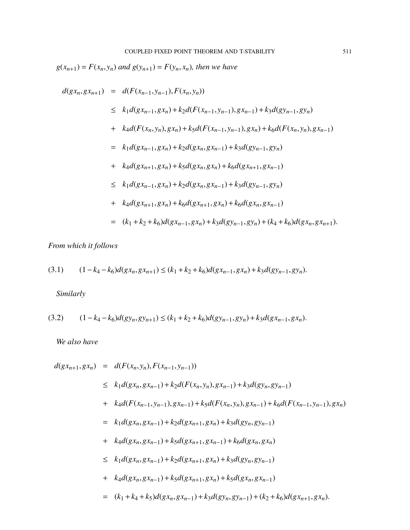$g(x_{n+1}) = F(x_n, y_n)$  *and*  $g(y_{n+1}) = F(y_n, x_n)$ *, then we have* 

$$
d(gx_n, gx_{n+1}) = d(F(x_{n-1}, y_{n-1}), F(x_n, y_n))
$$
  
\n
$$
\leq k_1 d(gx_{n-1}, gx_n) + k_2 d(F(x_{n-1}, y_{n-1}), gx_{n-1}) + k_3 d(gy_{n-1}, gy_n)
$$
  
\n
$$
+ k_4 d(F(x_n, y_n), gx_n) + k_5 d(F(x_{n-1}, y_{n-1}), gx_n) + k_6 d(F(x_n, y_n), gx_{n-1})
$$
  
\n
$$
= k_1 d(gx_{n-1}, gx_n) + k_2 d(gx_n, gx_{n-1}) + k_3 d(gy_{n-1}, gy_n)
$$
  
\n
$$
+ k_4 d(gx_{n+1}, gx_n) + k_5 d(gx_n, gx_n) + k_6 d(gx_{n+1}, gx_{n-1})
$$
  
\n
$$
\leq k_1 d(gx_{n-1}, gx_n) + k_2 d(gx_n, gx_{n-1}) + k_3 d(gy_{n-1}, gy_n)
$$
  
\n
$$
+ k_4 d(gx_{n+1}, gx_n) + k_6 d(gx_{n+1}, gx_n) + k_6 d(gx_n, gx_{n-1})
$$
  
\n
$$
= (k_1 + k_2 + k_6) d(gx_{n-1}, gx_n) + k_3 d(gy_{n-1}, gy_n) + (k_4 + k_6) d(gx_n, gx_{n+1}).
$$

*From which it follows*

$$
(3.1) \qquad (1-k_4-k_6)d(gx_n,gx_{n+1}) \le (k_1+k_2+k_6)d(gx_{n-1},gx_n) + k_3d(gy_{n-1},gy_n).
$$

*Similarly*

$$
(3.2) \qquad (1-k_4-k_6)d(gy_n,gy_{n+1}) \le (k_1+k_2+k_6)d(gy_{n-1},gy_n)+k_3d(gx_{n-1},gx_n).
$$

*We also have*

$$
d(gx_{n+1},gx_n) = d(F(x_n, y_n), F(x_{n-1}, y_{n-1}))
$$
  
\n
$$
\leq k_1d(gx_n, gx_{n-1}) + k_2d(F(x_n, y_n), gx_{n-1}) + k_3d(gy_n, gy_{n-1})
$$
  
\n
$$
+ k_4d(F(x_{n-1}, y_{n-1}), gx_{n-1}) + k_5d(F(x_n, y_n), gx_{n-1}) + k_6d(F(x_{n-1}, y_{n-1}), gx_n)
$$
  
\n
$$
= k_1d(gx_n, gx_{n-1}) + k_2d(gx_{n+1}, gx_n) + k_3d(gy_n, gy_{n-1})
$$
  
\n
$$
+ k_4d(gx_n, gx_{n-1}) + k_5d(gx_{n+1}, gx_{n-1}) + k_6d(gx_n, gx_n)
$$
  
\n
$$
\leq k_1d(gx_n, gx_{n-1}) + k_2d(gx_{n+1}, gx_n) + k_3d(gy_n, gy_{n-1})
$$
  
\n
$$
+ k_4d(gx_n, gx_{n-1}) + k_5d(gx_{n+1}, gx_n) + k_5d(gx_n, gx_{n-1})
$$
  
\n
$$
= (k_1 + k_4 + k_5)d(gx_n, gx_{n-1}) + k_3d(gy_n, gy_{n-1}) + (k_2 + k_6)d(gx_{n+1}, gx_n).
$$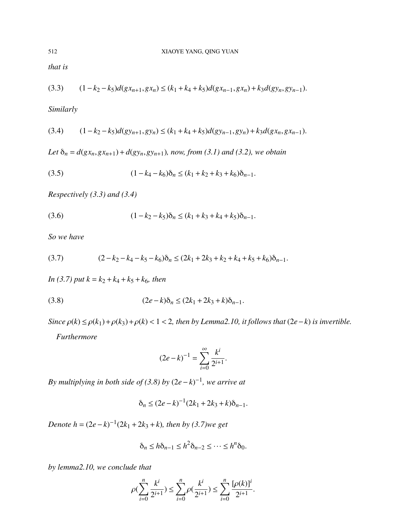*that is*

$$
(3.3) \qquad (1-k_2-k_5)d(gx_{n+1},gx_n) \le (k_1+k_4+k_5)d(gx_{n-1},gx_n) + k_3d(gy_n,gy_{n-1}).
$$

*Similarly*

$$
(3.4) \qquad (1-k_2-k_5)d(gy_{n+1},gy_n) \le (k_1+k_4+k_5)d(gy_{n-1},gy_n)+k_3d(gx_n,gx_{n-1}).
$$

*Let*  $\delta_n = d(gx_n, gx_{n+1}) + d(gy_n, gy_{n+1})$ *, now, from (3.1) and (3.2), we obtain* 

(3.5) 
$$
(1 - k_4 - k_6)\delta_n \le (k_1 + k_2 + k_3 + k_6)\delta_{n-1}.
$$

*Respectively (3.3) and (3.4)*

(3.6) 
$$
(1 - k_2 - k_5)\delta_n \le (k_1 + k_3 + k_4 + k_5)\delta_{n-1}.
$$

*So we have*

(3.7) 
$$
(2-k_2-k_4-k_5-k_6)\delta_n \leq (2k_1+2k_3+k_2+k_4+k_5+k_6)\delta_{n-1}.
$$

*In* (3.7) *put*  $k = k_2 + k_4 + k_5 + k_6$ *, then* 

(3.8) 
$$
(2e-k)\delta_n \le (2k_1 + 2k_3 + k)\delta_{n-1}.
$$

*Since*  $\rho(k) \leq \rho(k_1) + \rho(k_3) + \rho(k) < 1 < 2$ , then by Lemma2.10, it follows that  $(2e-k)$  *is invertible.* 

*Furthermore*

$$
(2e-k)^{-1} = \sum_{i=0}^{\infty} \frac{k^i}{2^{i+1}}.
$$

*By multiplying in both side of (3.8) by* (2*e*−*k*) −1 *, we arrive at*

$$
\delta_n \le (2e - k)^{-1} (2k_1 + 2k_3 + k) \delta_{n-1}.
$$

*Denote*  $h = (2e - k)^{-1}(2k_1 + 2k_3 + k)$ , then by (3.7)we get

$$
\delta_n \le h \delta_{n-1} \le h^2 \delta_{n-2} \le \cdots \le h^n \delta_0.
$$

*by lemma2.10, we conclude that*

$$
\rho(\sum_{i=0}^n\frac{k^i}{2^{i+1}})\leq \sum_{i=0}^n\rho(\frac{k^i}{2^{i+1}})\leq \sum_{i=0}^n\frac{[\rho(k)]^i}{2^{i+1}}.
$$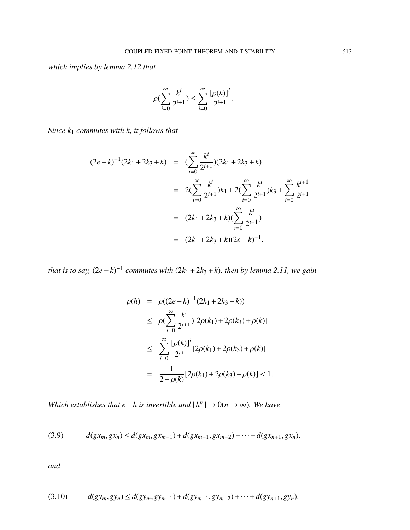*which implies by lemma 2.12 that*

$$
\rho(\sum_{i=0}^{\infty}\frac{k^i}{2^{i+1}})\leq \sum_{i=0}^{\infty}\frac{[\rho(k)]^i}{2^{i+1}}.
$$

*Since k*<sup>1</sup> *commutes with k, it follows that*

$$
(2e-k)^{-1}(2k_1+2k_3+k) = \left(\sum_{i=0}^{\infty} \frac{k^i}{2^{i+1}}\right)(2k_1+2k_3+k)
$$
  

$$
= 2\left(\sum_{i=0}^{\infty} \frac{k^i}{2^{i+1}}\right)k_1 + 2\left(\sum_{i=0}^{\infty} \frac{k^i}{2^{i+1}}\right)k_3 + \sum_{i=0}^{\infty} \frac{k^{i+1}}{2^{i+1}}
$$
  

$$
= (2k_1+2k_3+k)\left(\sum_{i=0}^{\infty} \frac{k^i}{2^{i+1}}\right)
$$
  

$$
= (2k_1+2k_3+k)(2e-k)^{-1}.
$$

*that is to say,*  $(2e-k)^{-1}$  commutes with  $(2k_1 + 2k_3 + k)$ , then by lemma 2.11, we gain

$$
\rho(h) = \rho((2e-k)^{-1}(2k_1 + 2k_3 + k))
$$
  
\n
$$
\leq \rho(\sum_{i=0}^{\infty} \frac{k^i}{2^{i+1}}) [2\rho(k_1) + 2\rho(k_3) + \rho(k)]
$$
  
\n
$$
\leq \sum_{i=0}^{\infty} \frac{[\rho(k)]^i}{2^{i+1}} [2\rho(k_1) + 2\rho(k_3) + \rho(k)]
$$
  
\n
$$
= \frac{1}{2-\rho(k)} [2\rho(k_1) + 2\rho(k_3) + \rho(k)] < 1.
$$

*Which establishes that*  $e - h$  *is invertible and*  $||h^n|| \to 0$  ( $n \to \infty$ ). We have

$$
(3.9) \t d(gx_m, gx_n) \leq d(gx_m, gx_{m-1}) + d(gx_{m-1}, gx_{m-2}) + \cdots + d(gx_{n+1}, gx_n).
$$

*and*

$$
(3.10) \t d(gy_m,gy_n) \leq d(gy_m,gy_{m-1}) + d(gy_{m-1},gy_{m-2}) + \cdots + d(gy_{n+1},gy_n).
$$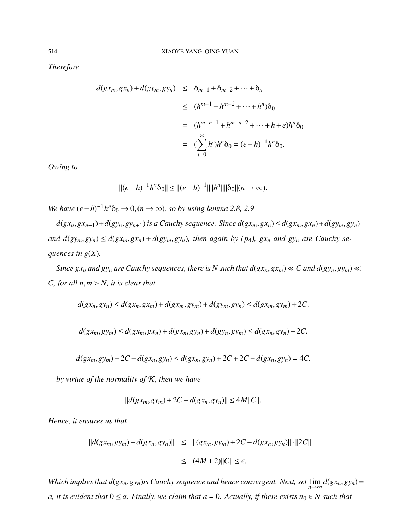*Therefore*

$$
d(gx_m, gx_n) + d(gy_m, gy_n) \leq \delta_{m-1} + \delta_{m-2} + \dots + \delta_n
$$
  
\n
$$
\leq (h^{m-1} + h^{m-2} + \dots + h^n)\delta_0
$$
  
\n
$$
= (h^{m-n-1} + h^{m-n-2} + \dots + h + e)h^n\delta_0
$$
  
\n
$$
= (\sum_{i=0}^{\infty} h^i)h^n\delta_0 = (e - h)^{-1}h^n\delta_0.
$$

*Owing to*

$$
||(e-h)^{-1}h^n\delta_0|| \leq ||(e-h)^{-1}|| ||h^n|| ||\delta_0|| (n \to \infty).
$$

*We have*  $(e - h)^{-1}h^n\delta_0 \rightarrow 0, (n \rightarrow \infty)$ *, so by using lemma 2.8, 2.9* 

 $d(gx_n, gx_{n+1}) + d(gy_n, gy_{n+1})$  is a Cauchy sequence. Since  $d(gx_m, gx_n) \leq d(gx_m, gx_n) + d(gy_m, gy_n)$ and  $d(gy_m, gy_n) \leq d(gx_m, gx_n) + d(gy_m, gy_n)$ , then again by (p<sub>4</sub>),  $gx_n$  and  $gy_n$  are Cauchy se*quences in g*(*X*)*.*

Since  $gx_n$  and  $gy_n$  are Cauchy sequences, there is N such that  $d(gx_n, gx_m) \ll C$  and  $d(gy_n, gy_m) \ll C$ *C, for all <sup>n</sup>*,*<sup>m</sup>* > *N, it is clear that*

$$
d(gx_n,gy_n) \leq d(gx_n,gx_m) + d(gx_m,gy_m) + d(gy_m,gy_n) \leq d(gx_m,gy_m) + 2C.
$$

$$
d(gx_m,gy_m) \leq d(gx_m,gx_n) + d(gx_n,gy_n) + d(gy_n,gy_m) \leq d(gx_n,gy_n) + 2C.
$$

$$
d(gx_m,gy_m)+2C-d(gx_n,gy_n)\leq d(gx_n,gy_n)+2C+2C-d(gx_n,gy_n)=4C.
$$

*by virtue of the normality of* K*, then we have*

$$
||d(gx_m,gy_m)+2C-d(gx_n,gy_n)|| \le 4M||C||.
$$

*Hence, it ensures us that*

$$
||d(gx_m,gy_m) - d(gx_n,gy_n)|| \le ||(gx_m,gy_m) + 2C - d(gx_n,gy_n)|| \cdot ||2C||
$$
  

$$
\le (4M+2)||C|| \le \epsilon.
$$

*Which implies that*  $d(gx_n, gy_n)$ *is Cauchy sequence and hence convergent. Next, set*  $\lim_{n\to\infty} d(gx_n, gy_n) =$ *a, it is evident that*  $0 ≤ a$ *. Finally, we claim that*  $a = 0$ *. Actually, if there exists*  $n_0 ∈ N$  *such that*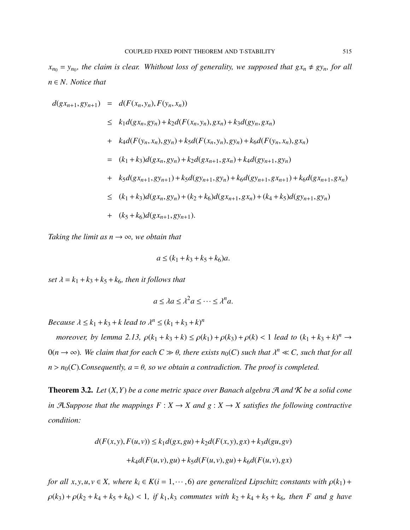$x_{n_0} = y_{n_0}$ , the claim is clear. Whithout loss of generality, we supposed that  $gx_n \neq gy_n$ , for all *n* ∈ *N. Notice that*

$$
d(gx_{n+1}, gy_{n+1}) = d(F(x_n, y_n), F(y_n, x_n))
$$
  
\n
$$
\leq k_1 d(gx_n, gy_n) + k_2 d(F(x_n, y_n), gx_n) + k_3 d(gy_n, gx_n)
$$
  
\n
$$
+ k_4 d(F(y_n, x_n), gy_n) + k_5 d(F(x_n, y_n), gy_n) + k_6 d(F(y_n, x_n), gx_n)
$$
  
\n
$$
= (k_1 + k_3) d(gx_n, gy_n) + k_2 d(gx_{n+1}, gx_n) + k_4 d(gy_{n+1}, gy_n)
$$
  
\n
$$
+ k_5 d(gx_{n+1}, gy_{n+1}) + k_5 d(gy_{n+1}, gy_n) + k_6 d(gy_{n+1}, gx_{n+1}) + k_6 d(gx_{n+1}, gx_n)
$$
  
\n
$$
\leq (k_1 + k_3) d(gx_n, gy_n) + (k_2 + k_6) d(gx_{n+1}, gx_n) + (k_4 + k_5) d(gy_{n+1}, gy_n)
$$
  
\n
$$
+ (k_5 + k_6) d(gx_{n+1}, gy_{n+1}).
$$

*Taking the limit as*  $n \rightarrow \infty$ *, we obtain that* 

$$
a \le (k_1 + k_3 + k_5 + k_6)a.
$$

*set*  $\lambda = k_1 + k_3 + k_5 + k_6$ *, then it follows that* 

$$
a \le \lambda a \le \lambda^2 a \le \dots \le \lambda^n a.
$$

*Because*  $\lambda \leq k_1 + k_3 + k$  *lead to*  $\lambda^n \leq (k_1 + k_3 + k)^n$ 

*moreover, by lemma* 2.13,  $\rho(k_1 + k_3 + k) \le \rho(k_1) + \rho(k_3) + \rho(k) < 1$  *lead to*  $(k_1 + k_3 + k)^n \to$  $0(n \to \infty)$ . We claim that for each  $C \gg \theta$ , there exists  $n_0(C)$  such that  $\lambda^n \ll C$ , such that for all  $n > n_0(C)$ *. Consequently,*  $a = \theta$ *, so we obtain a contradiction. The proof is completed.* 

**Theorem 3.2.** Let  $(X, Y)$  be a cone metric space over Banach algebra  $\mathcal{A}$  and  $\mathcal{K}$  be a solid cone *in*  $A$ *. Suppose that the mappings*  $F: X \to X$  *and*  $g: X \to X$  *satisfies the following contractive condition:*

$$
d(F(x, y), F(u, v)) \le k_1 d(gx, gu) + k_2 d(F(x, y), gx) + k_3 d(gu, gv) + k_4 d(F(u, v), gu) + k_5 d(F(u, v), gu) + k_6 d(F(u, v), gx)
$$

*for all*  $x, y, u, v \in X$ , where  $k_i \in K(i = 1, \dots, 6)$  *are generalized Lipschitz constants with*  $\rho(k_1)$  +  $\rho(k_3) + \rho(k_2 + k_4 + k_5 + k_6) < 1$ , if  $k_1, k_3$  commutes with  $k_2 + k_4 + k_5 + k_6$ , then *F* and *g* have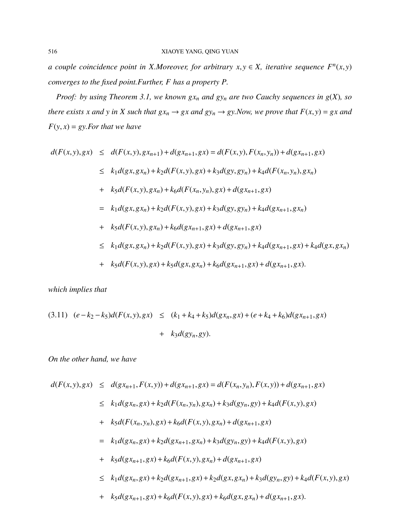*a* couple coincidence point in *X.Moreover, for arbitrary*  $x, y \in X$ , iterative sequence  $F<sup>n</sup>(x, y)$ *converges to the fixed point.Further, F has a property P.*

*Proof: by using Theorem 3.1, we known gx<sup>n</sup> and gy<sup>n</sup> are two Cauchy sequences in g*(*X*)*, so* there exists x and y in X such that  $gx_n \rightarrow gx$  and  $gy_n \rightarrow gy$ . Now, we prove that  $F(x, y) = gx$  and  $F(y, x) = gy. For that we have$ 

$$
d(F(x,y),gx) \leq d(F(x,y),gx_{n+1}) + d(gx_{n+1},gx) = d(F(x,y), F(x_n, y_n)) + d(gx_{n+1},gx)
$$
  
\n
$$
\leq k_1 d(gx, gx_n) + k_2 d(F(x,y), gx) + k_3 d(gy, gy_n) + k_4 d(F(x_n, y_n), gx_n)
$$
  
\n
$$
+ k_5 d(F(x,y), gx_n) + k_6 d(F(x_n, y_n), gx) + d(gx_{n+1}, gx)
$$
  
\n
$$
= k_1 d(gx, gx_n) + k_2 d(F(x,y), gx) + k_3 d(gy, gy_n) + k_4 d(gx_{n+1}, gx_n)
$$
  
\n
$$
+ k_5 d(F(x,y), gx_n) + k_6 d(gx_{n+1}, gx) + d(gx_{n+1}, gx) + k_4 d(gx, gx_n)
$$
  
\n
$$
+ k_5 d(F(x,y), gx) + k_2 d(F(x,y), gx) + k_3 d(gy, gy_n) + k_4 d(gx_{n+1}, gx) + k_4 d(gx, gx_n)
$$

*which implies that*

$$
(3.11) \quad (e-k_2-k_5)d(F(x,y),gx) \leq (k_1+k_4+k_5)d(gx_n,gx) + (e+k_4+k_6)d(gx_{n+1},gx) + k_3d(gy_n,gy).
$$

*On the other hand, we have*

$$
d(F(x, y), gx) \leq d(gx_{n+1}, F(x, y)) + d(gx_{n+1}, gx) = d(F(x_n, y_n), F(x, y)) + d(gx_{n+1}, gx)
$$
  
\n
$$
\leq k_1 d(gx_n, gx) + k_2 d(F(x_n, y_n), gx_n) + k_3 d(gy_n, gy) + k_4 d(F(x, y), gx)
$$
  
\n
$$
+ k_5 d(F(x_n, y_n), gx) + k_6 d(F(x, y), gx_n) + d(gx_{n+1}, gx)
$$

 $=$   $k_1d(gx_n,gx) + k_2d(gx_{n+1},gx_n) + k_3d(gy_n,gy) + k_4d(F(x,y),gx)$ 

+ 
$$
k_5d(gx_{n+1},gx) + k_6d(F(x,y),gx_n) + d(gx_{n+1},gx)
$$

- $\leq k_1 d(gx_n, gx) + k_2 d(gx_{n+1}, gx) + k_2 d(gx, gx_n) + k_3 d(gy_n, gy) + k_4 d(F(x, y), gx)$
- +  $k_5d(gx_{n+1},gx) + k_6d(F(x, y),gx) + k_6d(gx, gx_n) + d(gx_{n+1}, gx).$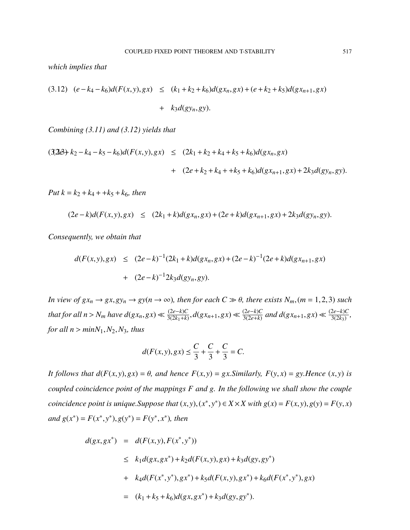*which implies that*

$$
(3.12) \quad (e - k_4 - k_6)d(F(x, y), gx) \leq (k_1 + k_2 + k_6)d(gx_n, gx) + (e + k_2 + k_5)d(gx_{n+1}, gx) + k_3d(gy_n, gy).
$$

*Combining (3.11) and (3.12) yields that*

$$
(32\&b) k_2 - k_4 - k_5 - k_6)d(F(x, y), gx) \leq (2k_1 + k_2 + k_4 + k_5 + k_6)d(gx_n, gx) + (2e + k_2 + k_4 + k_5 + k_6)d(gx_{n+1}, gx) + 2k_3d(gy_n, gy).
$$

*Put*  $k = k_2 + k_4 + k_5 + k_6$ , then

$$
(2e-k)d(F(x,y),gx) \leq (2k_1+k)d(gx_n,gx) + (2e+k)d(gx_{n+1},gx) + 2k_3d(gy_n,gy).
$$

*Consequently, we obtain that*

$$
d(F(x, y), gx) \le (2e - k)^{-1} (2k_1 + k) d(gx_n, gx) + (2e - k)^{-1} (2e + k) d(gx_{n+1}, gx)
$$
  
+ 
$$
(2e - k)^{-1} 2k_3 d(gy_n, gy).
$$

*In view of*  $gx_n \to gx, gy_n \to gy(n \to \infty)$ *, then for each*  $C \gg \theta$ *, there exists*  $N_m$ *,*( $m = 1, 2, 3$ ) *such that for all*  $n > N_m$  *have*  $d(gx_n, gx) \ll \frac{(2e-k)C}{3(2k_1+k)}$  $\frac{(2e-k)C}{3(2k_1+k)}, d(gx_{n+1},gx) \ll \frac{(2e-k)C}{3(2e+k)}$  $\frac{(2e-k)C}{3(2e+k)}$  and  $d(gx_{n+1},gx)$  ≪  $\frac{(2e-k)C}{3(2k_3)}$  $\frac{2e-k}{3(2k_3)}$ , *for all*  $n > minN_1, N_2, N_3$ *, thus* 

$$
d(F(x, y), gx) \le \frac{C}{3} + \frac{C}{3} + \frac{C}{3} = C.
$$

*It follows that*  $d(F(x, y), gx) = \theta$ *, and hence*  $F(x, y) = gx.Similarly$ ,  $F(y, x) = gy.Hence (x, y)$  *is coupled coincidence point of the mappings F and g. In the following we shall show the couple* coincidence point is unique.Suppose that  $(x, y), (x^*, y^*) \in X \times X$  with  $g(x) = F(x, y), g(y) = F(y, x)$ *and*  $g(x^*) = F(x^*, y^*), g(y^*) = F(y^*, x^*)$ , then

$$
d(gx, gx^*) = d(F(x, y), F(x^*, y^*))
$$
  
\n
$$
\leq k_1 d(gx, gx^*) + k_2 d(F(x, y), gx) + k_3 d(gy, gy^*)
$$
  
\n
$$
+ k_4 d(F(x^*, y^*), gx^*) + k_5 d(F(x, y), gx^*) + k_6 d(F(x^*, y^*), gx)
$$
  
\n
$$
= (k_1 + k_5 + k_6) d(gx, gx^*) + k_3 d(gy, gy^*).
$$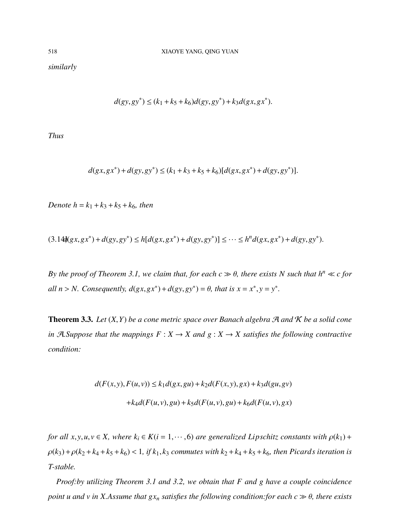*similarly*

$$
d(gy, gy^*) \le (k_1 + k_5 + k_6) d(gy, gy^*) + k_3 d(gx, gx^*).
$$

*Thus*

$$
d(gx, gx^*) + d(gy, gy^*) \le (k_1 + k_3 + k_5 + k_6)[d(gx, gx^*) + d(gy, gy^*)].
$$

*Denote*  $h = k_1 + k_3 + k_5 + k_6$ *, then* 

$$
(3.14\mathfrak{h}(gx, gx^*) + d(gy, gy^*) \le h[d(gx, gx^*) + d(gy, gy^*)] \le \cdots \le h^n d(gx, gx^*) + d(gy, gy^*).
$$

*By the proof of Theorem 3.1, we claim that, for each*  $c \gg \theta$ *, there exists N such that*  $h^n \ll c$  *for all*  $n > N$ . *Consequently,*  $d(gx, gx^*) + d(gy, gy^*) = \theta$ , that is  $x = x^*$ ,  $y = y^*$ .

**Theorem 3.3.** Let  $(X, Y)$  be a cone metric space over Banach algebra  $\mathcal{A}$  and  $\mathcal{K}$  be a solid cone *in*  $A$ *. Suppose that the mappings*  $F: X \to X$  *and*  $g: X \to X$  *satisfies the following contractive condition:*

$$
d(F(x, y), F(u, v)) \le k_1 d(gx, gu) + k_2 d(F(x, y), gx) + k_3 d(gu, gv) + k_4 d(F(u, v), gu) + k_5 d(F(u, v), gu) + k_6 d(F(u, v), gx)
$$

*for all*  $x, y, u, v \in X$ *, where*  $k_i \in K(i = 1, \dots, 6)$  *are generalized Lipschitz constants with*  $\rho(k_1)$  +  $\rho(k_3) + \rho(k_2 + k_4 + k_5 + k_6) < 1$ , if  $k_1, k_3$  commutes with  $k_2 + k_4 + k_5 + k_6$ , then Picards iteration is *T-stable.*

*Proof:by utilizing Theorem 3.1 and 3.2, we obtain that F and g have a couple coincidence point u and v in X.Assume that*  $gx_n$  *satisfies the following condition:for each*  $c \gg \theta$ *, there exists*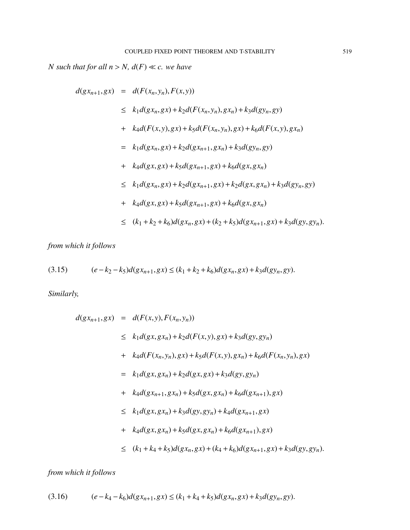*N* such that for all  $n > N$ ,  $d(F) \ll c$ . we have

$$
d(gx_{n+1},gx) = d(F(x_n, y_n), F(x, y))
$$
  
\n
$$
\leq k_1 d(gx_n, gx) + k_2 d(F(x_n, y_n), gx_n) + k_3 d(gy_n, gy)
$$
  
\n
$$
+ k_4 d(F(x, y), gx) + k_5 d(F(x_n, y_n), gx) + k_6 d(F(x, y), gx_n)
$$
  
\n
$$
= k_1 d(gx_n, gx) + k_2 d(gx_{n+1}, gx_n) + k_3 d(gy_n, gy)
$$
  
\n
$$
+ k_4 d(gx, gx) + k_5 d(gx_{n+1}, gx) + k_6 d(gx, gx_n)
$$
  
\n
$$
\leq k_1 d(gx_n, gx) + k_2 d(gx_{n+1}, gx) + k_2 d(gx, gx_n) + k_3 d(gy_n, gy)
$$
  
\n
$$
+ k_4 d(gx, gx) + k_5 d(gx_{n+1}, gx) + k_6 d(gx, gx_n)
$$
  
\n
$$
\leq (k_1 + k_2 + k_6) d(gx_n, gx) + (k_2 + k_5) d(gx_{n+1}, gx) + k_3 d(gy, gy_n).
$$

*from which it follows*

$$
(3.15) \qquad (e-k_2-k_5)d(gx_{n+1},gx) \le (k_1+k_2+k_6)d(gx_n,gx) + k_3d(gy_n,gy).
$$

*Similarly,*

$$
d(gx_{n+1},gx) = d(F(x,y), F(x_n, y_n))
$$
  
\n
$$
\leq k_1d(gx, gx_n) + k_2d(F(x,y), gx) + k_3d(gy, gy_n)
$$
  
\n
$$
+ k_4d(F(x_n, y_n), gx) + k_5d(F(x,y), gx_n) + k_6d(F(x_n, y_n), gx)
$$
  
\n
$$
= k_1d(gx, gx_n) + k_2d(gx, gx) + k_3d(gy, gy_n)
$$
  
\n
$$
+ k_4d(gx_{n+1}, gx_n) + k_5d(gx, gx_n) + k_6d(gx_{n+1}), gx)
$$
  
\n
$$
\leq k_1d(gx, gx_n) + k_3d(gy, gy_n) + k_4d(gx_{n+1}, gx)
$$
  
\n
$$
\leq (k_1 + k_4 + k_5)d(gx_n, gx) + (k_4 + k_6)d(gx_{n+1}, gx) + k_3d(gy, gy_n).
$$

*from which it follows*

$$
(3.16) \qquad (e-k_4-k_6)d(gx_{n+1},gx) \le (k_1+k_4+k_5)d(gx_n,gx) + k_3d(gy_n,gy).
$$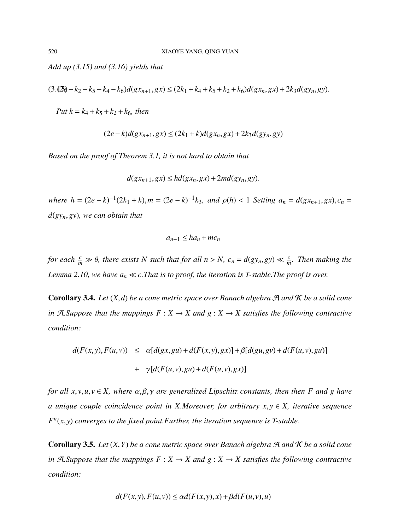*Add up (3.15) and (3.16) yields that*

$$
(3.12\theta - k_2 - k_5 - k_4 - k_6)d(gx_{n+1},gx) \le (2k_1 + k_4 + k_5 + k_2 + k_6)d(gx_n,gx) + 2k_3d(gy_n,gy).
$$

*Put*  $k = k_4 + k_5 + k_2 + k_6$ *, then* 

$$
(2e-k)d(gx_{n+1},gx) \le (2k_1+k)d(gx_n,gx) + 2k_3d(gy_n,gy)
$$

*Based on the proof of Theorem 3.1, it is not hard to obtain that*

$$
d(gx_{n+1},gx) \le hd(gx_n,gx) + 2md(gy_n,gy).
$$

where  $h = (2e - k)^{-1}(2k_1 + k)$ ,  $m = (2e - k)^{-1}k_3$ , and  $\rho(h) < 1$  Setting  $a_n = d(gx_{n+1}, gx)$ ,  $c_n =$ *<sup>d</sup>*(*gyn*,*gy*)*, we can obtain that*

$$
a_{n+1} \leq ha_n + mc_n
$$

*for each*  $\frac{c}{m} \gg \theta$ , there exists *N* such that for all  $n > N$ ,  $c_n = d(gy_n, gy) \ll \frac{c}{m}$ . Then making the *Lemma 2.10, we have*  $a_n \ll c$ *. That is to proof, the iteration is T-stable. The proof is over.* 

**Corollary 3.4.** *Let*  $(X,d)$  *be a cone metric space over Banach algebra*  $\mathcal{A}$  *and*  $\mathcal{K}$  *be a solid cone in*  $A$ *. Suppose that the mappings*  $F: X \to X$  *and*  $g: X \to X$  *satisfies the following contractive condition:*

$$
d(F(x,y), F(u,v)) \leq \alpha [d(gx, gu) + d(F(x,y), gx)] + \beta [d(gu, gv) + d(F(u,v), gu)]
$$
  
+ 
$$
\gamma [d(F(u,v), gu) + d(F(u,v), gx)]
$$

*for all*  $x, y, u, v \in X$ , where  $\alpha, \beta, \gamma$  are generalized Lipschitz constants, then then F and g have *a unique couple coincidence point in X.Moreover, for arbitrary <sup>x</sup>*, *<sup>y</sup>* <sup>∈</sup> *X, iterative sequence F n* (*x*, *<sup>y</sup>*) *converges to the fixed point.Further, the iteration sequence is T-stable.*

Corollary 3.5. *Let* (*X*,*Y*) *be a cone metric space over Banach algebra* <sup>A</sup> *and* <sup>K</sup> *be a solid cone in*  $A$ *. Suppose that the mappings*  $F: X \to X$  *and*  $g: X \to X$  *satisfies the following contractive condition:*

$$
d(F(x, y), F(u, v)) \le \alpha d(F(x, y), x) + \beta d(F(u, v), u)
$$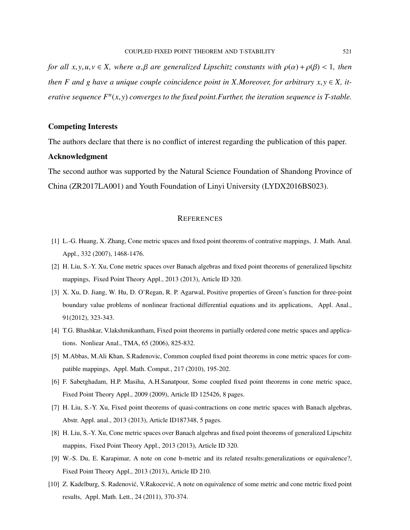*for all*  $x, y, u, v \in X$ *, where*  $\alpha, \beta$  *are generalized Lipschitz constants with*  $\rho(\alpha) + \rho(\beta) < 1$ *, then then F* and *g* have a unique couple coincidence point in *X*.Moreover, for arbitrary  $x, y \in X$ , it*erative sequence F n* (*x*, *<sup>y</sup>*) *converges to the fixed point.Further, the iteration sequence is T-stable.*

#### Competing Interests

The authors declare that there is no conflict of interest regarding the publication of this paper.

#### Acknowledgment

The second author was supported by the Natural Science Foundation of Shandong Province of China (ZR2017LA001) and Youth Foundation of Linyi University (LYDX2016BS023).

#### **REFERENCES**

- [1] L.-G. Huang, X. Zhang, Cone metric spaces and fixed point theorems of contrative mappings, J. Math. Anal. Appl., 332 (2007), 1468-1476.
- [2] H. Liu, S.-Y. Xu, Cone metric spaces over Banach algebras and fixed point theorems of generalized lipschitz mappings, Fixed Point Theory Appl., 2013 (2013), Article ID 320.
- [3] X. Xu, D. Jiang, W. Hu, D. O'Regan, R. P. Agarwal, Positive properties of Green's function for three-point boundary value problems of nonlinear fractional differential equations and its applications, Appl. Anal., 91(2012), 323-343.
- [4] T.G. Bhashkar, V.lakshmikantham, Fixed point theorems in partially ordered cone metric spaces and applications. Nonliear Anal., TMA, 65 (2006), 825-832.
- [5] M.Abbas, M.Ali Khan, S.Radenovic, Common coupled fixed point theorems in cone metric spaces for compatible mappings, Appl. Math. Comput., 217 (2010), 195-202.
- [6] F. Sabetghadam, H.P. Masiha, A.H.Sanatpour, Some coupled fixed point theorems in cone metric space, Fixed Point Theory Appl., 2009 (2009), Article ID 125426, 8 pages.
- [7] H. Liu, S.-Y. Xu, Fixed point theorems of quasi-contractions on cone metric spaces with Banach algebras, Abstr. Appl. anal., 2013 (2013), Article ID187348, 5 pages.
- [8] H. Liu, S.-Y. Xu, Cone metric spaces over Banach algebras and fixed point theorems of generalized Lipschitz mappins, Fixed Point Theory Appl., 2013 (2013), Article ID 320.
- [9] W.-S. Du, E. Karapimar, A note on cone b-metric and its related results:generalizations or equivalence?, Fixed Point Theory Appl., 2013 (2013), Article ID 210.
- [10] Z. Kadelburg, S. Radenović, V.Rakocević, A note on equivalence of some metric and cone metric fixed point results, Appl. Math. Lett., 24 (2011), 370-374.